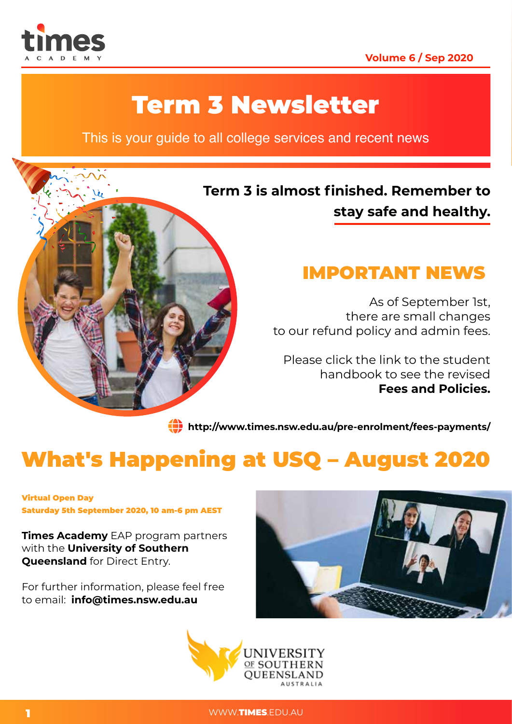

### **Volume 6 / Sep 2020**

# Term 3 Newsletter

This is your guide to all college services and recent news

### **Term 3 is almost finished. Remember to stay safe and healthy.**



As of September 1st, there are small changes to our refund policy and admin fees.

Please click the link to the student handbook to see the revised **Fees and Policies.**

**http://www.times.nsw.edu.au/pre-enrolment/fees-payments/**

# What's Happening at USQ – August 2020

Virtual Open Day Saturday 5th September 2020, 10 am-6 pm AEST

**Times Academy** EAP program partners with the **University of Southern Queensland** for Direct Entry.

For further information, please feel free to email: **info@times.nsw.edu.au**





1 WWW.TIMES.EDU.AU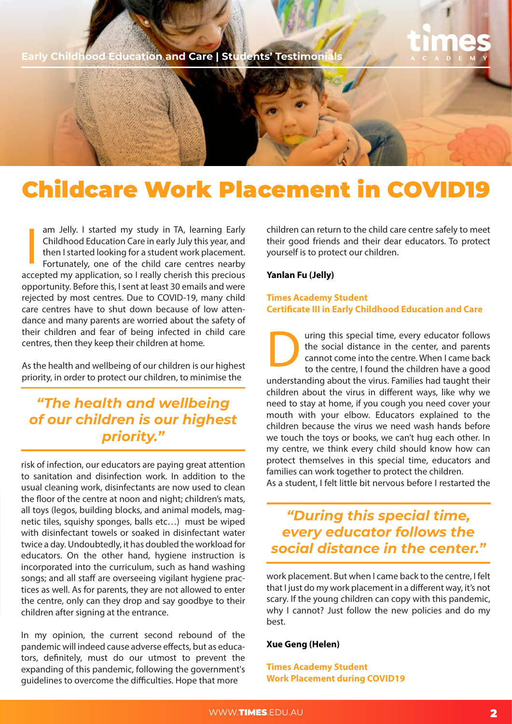**Early Childhood Education and Care | Students' Testimonials** 

# Childcare Work Placement in COVID19

am Jelly. I started my study in TA, learning Early Childhood Education Care in early July this year, and then I started looking for a student work placement. Fortunately, one of the child care centres nearby accepted my application, so I really cherish this precious opportunity. Before this, I sent at least 30 emails and were rejected by most centres. Due to COVID-19, many child care centres have to shut down because of low attendance and many parents are worried about the safety of their children and fear of being infected in child care centres, then they keep their children at home. |<br>|<br>|

As the health and wellbeing of our children is our highest priority, in order to protect our children, to minimise the

*"The health and wellbeing of our children is our highest priority."* 

risk of infection, our educators are paying great attention to sanitation and disinfection work. In addition to the usual cleaning work, disinfectants are now used to clean the floor of the centre at noon and night; children's mats, all toys (legos, building blocks, and animal models, magnetic tiles, squishy sponges, balls etc…) must be wiped with disinfectant towels or soaked in disinfectant water twice a day. Undoubtedly, it has doubled the workload for educators. On the other hand, hygiene instruction is incorporated into the curriculum, such as hand washing songs; and all staff are overseeing vigilant hygiene practices as well. As for parents, they are not allowed to enter the centre, only can they drop and say goodbye to their children after signing at the entrance.

In my opinion, the current second rebound of the pandemic will indeed cause adverse effects, but as educators, definitely, must do our utmost to prevent the expanding of this pandemic, following the government's guidelines to overcome the difficulties. Hope that more

children can return to the child care centre safely to meet their good friends and their dear educators. To protect yourself is to protect our children.

#### **Yanlan Fu (Jelly)**

#### **Times Academy Student Certificate III in Early Childhood Education and Care**

The social time, every educator follows<br>the social distance in the center, and parents<br>cannot come into the centre. When I came back<br>to the centre, I found the children have a good the social distance in the center, and parents cannot come into the centre. When I came back to the centre, I found the children have a good understanding about the virus. Families had taught their children about the virus in different ways, like why we need to stay at home, if you cough you need cover your mouth with your elbow. Educators explained to the children because the virus we need wash hands before we touch the toys or books, we can't hug each other. In my centre, we think every child should know how can protect themselves in this special time, educators and families can work together to protect the children. As a student, I felt little bit nervous before I restarted the

*"During this special time, every educator follows the social distance in the center."* 

work placement. But when I came back to the centre, I felt that I just do my work placement in a different way, it's not scary. If the young children can copy with this pandemic, why I cannot? Just follow the new policies and do my best.

#### **Xue Geng (Helen)**

**Times Academy Student Work Placement during COVID19**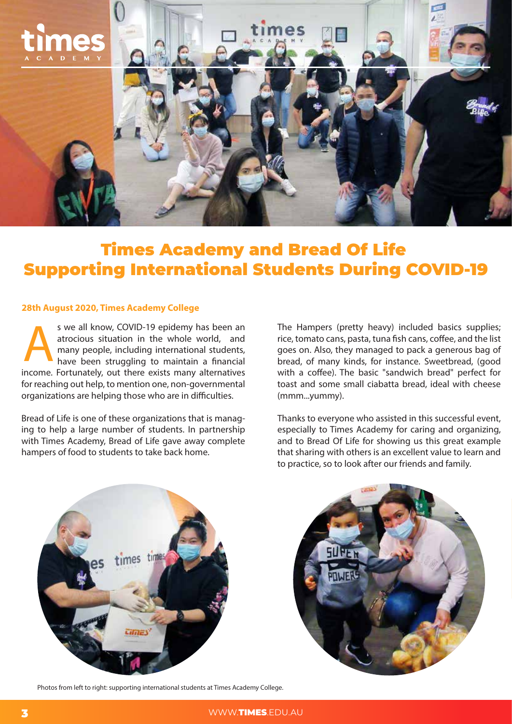

## Times Academy and Bread Of Life Supporting International Students During COVID-19

#### **28th August 2020, Times Academy College**

s we all know, COVID-19 epidemy has been an atrocious situation in the whole world, and many people, including international students, have been struggling to maintain a financial income. Fortunately, out there exists many alternatives for reaching out help, to mention one, non-governmental organizations are helping those who are in difficulties. s we all know, COVID-19 epidemy has been an<br>atrocious situation in the whole world, and<br>many people, including international students,<br>have been struggling to maintain a financial<br>students, they managed to pack a generous

Bread of Life is one of these organizations that is managing to help a large number of students. In partnership with Times Academy, Bread of Life gave away complete hampers of food to students to take back home.

rice, tomato cans, pasta, tuna fish cans, coffee, and the list goes on. Also, they managed to pack a generous bag of bread, of many kinds, for instance. Sweetbread, (good with a coffee). The basic "sandwich bread" perfect for toast and some small ciabatta bread, ideal with cheese (mmm...yummy).

Thanks to everyone who assisted in this successful event, especially to Times Academy for caring and organizing, and to Bread Of Life for showing us this great example that sharing with others is an excellent value to learn and to practice, so to look after our friends and family.



Photos from left to right: supporting international students at Times Academy College.